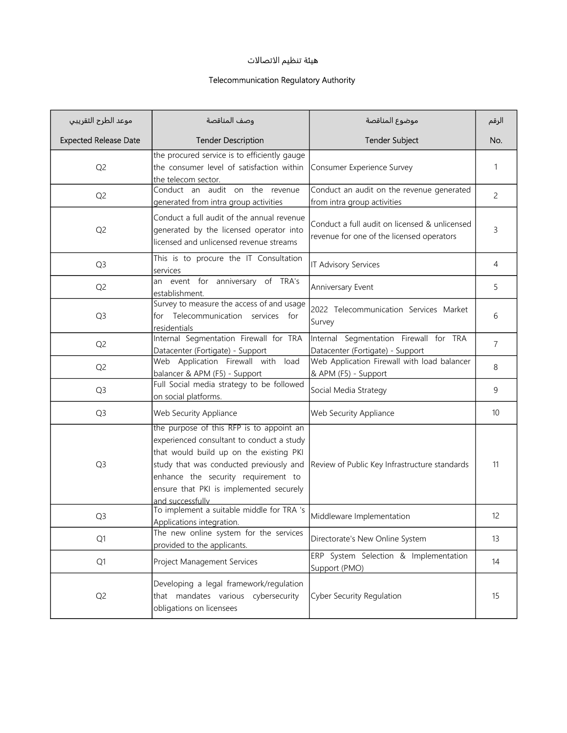## هيئة تنظيم الاتصالات

## Telecommunication Regulatory Authority

| موعد الطرح التقريبي          | وصف المناقصة                                                                                                                                                                                                                                                                      | موضوع المناقصة                                                                             | الرقم |
|------------------------------|-----------------------------------------------------------------------------------------------------------------------------------------------------------------------------------------------------------------------------------------------------------------------------------|--------------------------------------------------------------------------------------------|-------|
| <b>Expected Release Date</b> | <b>Tender Description</b>                                                                                                                                                                                                                                                         | <b>Tender Subject</b>                                                                      | No.   |
| Q <sub>2</sub>               | the procured service is to efficiently gauge<br>the consumer level of satisfaction within<br>the telecom sector.                                                                                                                                                                  | Consumer Experience Survey                                                                 | 1     |
| Q <sub>2</sub>               | Conduct an audit on the revenue<br>generated from intra group activities                                                                                                                                                                                                          | Conduct an audit on the revenue generated<br>from intra group activities                   | 2     |
| Q <sub>2</sub>               | Conduct a full audit of the annual revenue<br>generated by the licensed operator into<br>licensed and unlicensed revenue streams                                                                                                                                                  | Conduct a full audit on licensed & unlicensed<br>revenue for one of the licensed operators | 3     |
| Q <sub>3</sub>               | This is to procure the IT Consultation<br>services                                                                                                                                                                                                                                | IT Advisory Services                                                                       | 4     |
| Q <sub>2</sub>               | an event for anniversary of TRA's<br>establishment.                                                                                                                                                                                                                               | Anniversary Event                                                                          | 5     |
| Q <sub>3</sub>               | Survey to measure the access of and usage<br>for Telecommunication services for<br>residentials                                                                                                                                                                                   | 2022 Telecommunication Services Market<br>Survey                                           | 6     |
| Q <sub>2</sub>               | Internal Segmentation Firewall for TRA<br>Datacenter (Fortigate) - Support                                                                                                                                                                                                        | Internal Segmentation Firewall for TRA<br>Datacenter (Fortigate) - Support                 | 7     |
| Q <sub>2</sub>               | Web Application Firewall with load<br>balancer & APM (F5) - Support                                                                                                                                                                                                               | Web Application Firewall with load balancer<br>& APM (F5) - Support                        | 8     |
| Q <sub>3</sub>               | Full Social media strategy to be followed<br>on social platforms.                                                                                                                                                                                                                 | Social Media Strategy                                                                      | 9     |
| Q <sub>3</sub>               | Web Security Appliance                                                                                                                                                                                                                                                            | Web Security Appliance                                                                     | 10    |
| Q <sub>3</sub>               | the purpose of this RFP is to appoint an<br>experienced consultant to conduct a study<br>that would build up on the existing PKI<br>study that was conducted previously and<br>enhance the security requirement to<br>ensure that PKI is implemented securely<br>and successfully | Review of Public Key Infrastructure standards                                              | 11    |
| Q <sub>3</sub>               | To implement a suitable middle for TRA 's<br>Applications integration.                                                                                                                                                                                                            | Middleware Implementation                                                                  | 12    |
| Q1                           | The new online system for the services<br>provided to the applicants.                                                                                                                                                                                                             | Directorate's New Online System                                                            | 13    |
| Q1                           | Project Management Services                                                                                                                                                                                                                                                       | ERP System Selection & Implementation<br>Support (PMO)                                     | 14    |
| Q <sub>2</sub>               | Developing a legal framework/regulation<br>that mandates various cybersecurity<br>obligations on licensees                                                                                                                                                                        | Cyber Security Regulation                                                                  | 15    |